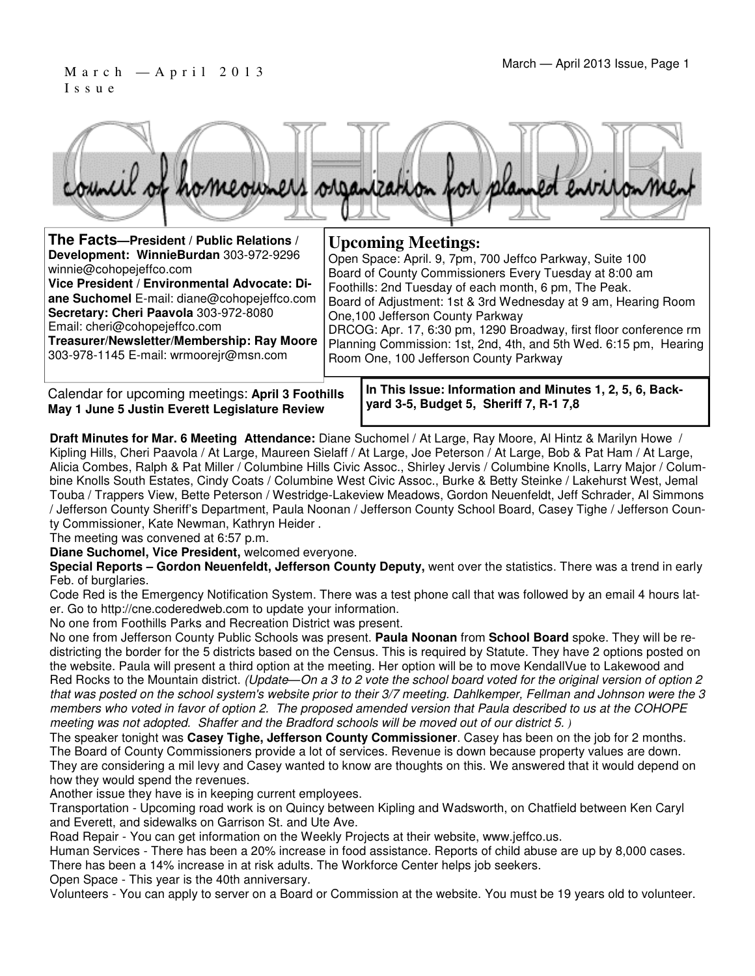### March — A p r i l 2 0 1 3<br>March — April 2013 Issue, Page 1 I s s u e



| The Facts-President / Public Relations /     | <b>Upcoming Meetings:</b>                                         |
|----------------------------------------------|-------------------------------------------------------------------|
| Development: WinnieBurdan 303-972-9296       | Open Space: April. 9, 7pm, 700 Jeffco Parkway, Suite 100          |
| winnie@cohopejeffco.com                      | Board of County Commissioners Every Tuesday at 8:00 am            |
| Vice President / Environmental Advocate: Di- | Foothills: 2nd Tuesday of each month, 6 pm, The Peak.             |
| ane Suchomel E-mail: diane@cohopejeffco.com  | Board of Adjustment: 1st & 3rd Wednesday at 9 am, Hearing Room    |
| Secretary: Cheri Paavola 303-972-8080        | One, 100 Jefferson County Parkway                                 |
| Email: cheri@cohopejeffco.com                | DRCOG: Apr. 17, 6:30 pm, 1290 Broadway, first floor conference rm |
| Treasurer/Newsletter/Membership: Ray Moore   | Planning Commission: 1st, 2nd, 4th, and 5th Wed. 6:15 pm, Hearing |
| 303-978-1145 E-mail: wrmoorejr@msn.com       | Room One, 100 Jefferson County Parkway                            |

Calendar for upcoming meetings: **April 3 Foothills May 1 June 5 Justin Everett Legislature Review**

**In This Issue: Information and Minutes 1, 2, 5, 6, Backyard 3-5, Budget 5, Sheriff 7, R-1 7,8** 

**Draft Minutes for Mar. 6 Meeting Attendance:** Diane Suchomel / At Large, Ray Moore, Al Hintz & Marilyn Howe / Kipling Hills, Cheri Paavola / At Large, Maureen Sielaff / At Large, Joe Peterson / At Large, Bob & Pat Ham / At Large, Alicia Combes, Ralph & Pat Miller / Columbine Hills Civic Assoc., Shirley Jervis / Columbine Knolls, Larry Major / Columbine Knolls South Estates, Cindy Coats / Columbine West Civic Assoc., Burke & Betty Steinke / Lakehurst West, Jemal Touba / Trappers View, Bette Peterson / Westridge-Lakeview Meadows, Gordon Neuenfeldt, Jeff Schrader, Al Simmons / Jefferson County Sheriff's Department, Paula Noonan / Jefferson County School Board, Casey Tighe / Jefferson County Commissioner, Kate Newman, Kathryn Heider .

The meeting was convened at 6:57 p.m.

**Diane Suchomel, Vice President,** welcomed everyone.

**Special Reports – Gordon Neuenfeldt, Jefferson County Deputy,** went over the statistics. There was a trend in early Feb. of burglaries.

Code Red is the Emergency Notification System. There was a test phone call that was followed by an email 4 hours later. Go to http://cne.coderedweb.com to update your information.

No one from Foothills Parks and Recreation District was present.

No one from Jefferson County Public Schools was present. **Paula Noonan** from **School Board** spoke. They will be redistricting the border for the 5 districts based on the Census. This is required by Statute. They have 2 options posted on the website. Paula will present a third option at the meeting. Her option will be to move KendallVue to Lakewood and Red Rocks to the Mountain district. (Update—On a 3 to 2 vote the school board voted for the original version of option 2 that was posted on the school system's website prior to their 3/7 meeting. Dahlkemper, Fellman and Johnson were the 3 members who voted in favor of option 2. The proposed amended version that Paula described to us at the COHOPE meeting was not adopted. Shaffer and the Bradford schools will be moved out of our district 5. *)*

The speaker tonight was **Casey Tighe, Jefferson County Commissioner**. Casey has been on the job for 2 months. The Board of County Commissioners provide a lot of services. Revenue is down because property values are down. They are considering a mil levy and Casey wanted to know are thoughts on this. We answered that it would depend on how they would spend the revenues.

Another issue they have is in keeping current employees.

Transportation - Upcoming road work is on Quincy between Kipling and Wadsworth, on Chatfield between Ken Caryl and Everett, and sidewalks on Garrison St. and Ute Ave.

Road Repair - You can get information on the Weekly Projects at their website, www.jeffco.us.

Human Services - There has been a 20% increase in food assistance. Reports of child abuse are up by 8,000 cases. There has been a 14% increase in at risk adults. The Workforce Center helps job seekers.

Open Space - This year is the 40th anniversary.

Volunteers - You can apply to server on a Board or Commission at the website. You must be 19 years old to volunteer.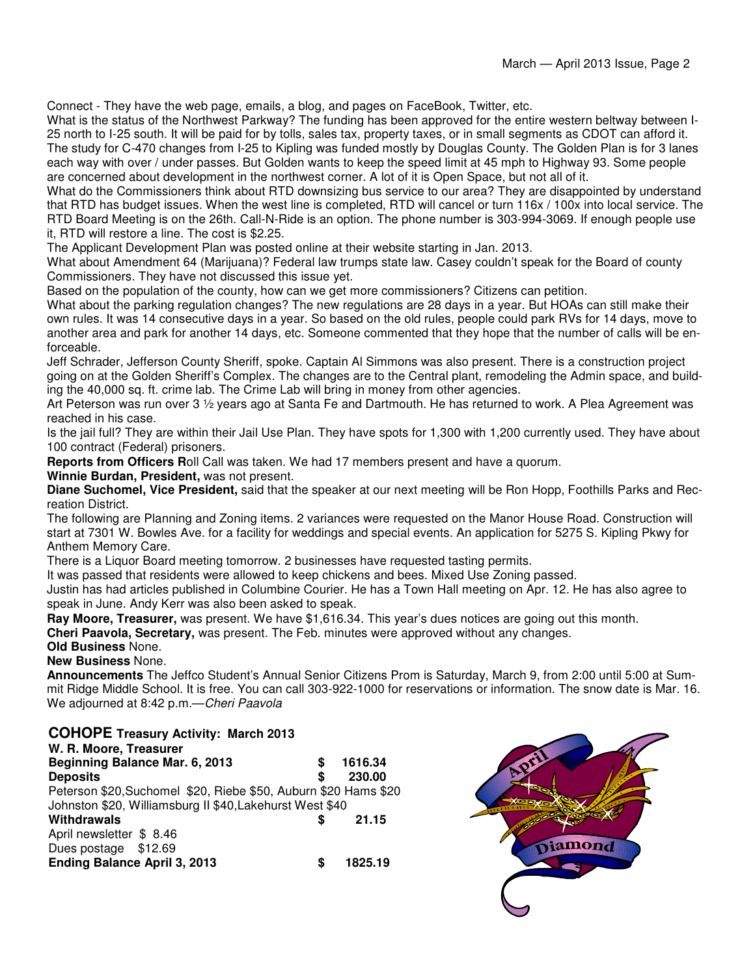Connect - They have the web page, emails, a blog, and pages on FaceBook, Twitter, etc.

What is the status of the Northwest Parkway? The funding has been approved for the entire western beltway between I-25 north to I-25 south. It will be paid for by tolls, sales tax, property taxes, or in small segments as CDOT can afford it. The study for C-470 changes from I-25 to Kipling was funded mostly by Douglas County. The Golden Plan is for 3 lanes each way with over / under passes. But Golden wants to keep the speed limit at 45 mph to Highway 93. Some people are concerned about development in the northwest corner. A lot of it is Open Space, but not all of it.

What do the Commissioners think about RTD downsizing bus service to our area? They are disappointed by understand that RTD has budget issues. When the west line is completed, RTD will cancel or turn 116x / 100x into local service. The RTD Board Meeting is on the 26th. Call-N-Ride is an option. The phone number is 303-994-3069. If enough people use it, RTD will restore a line. The cost is \$2.25.

The Applicant Development Plan was posted online at their website starting in Jan. 2013.

What about Amendment 64 (Marijuana)? Federal law trumps state law. Casey couldn't speak for the Board of county Commissioners. They have not discussed this issue yet.

Based on the population of the county, how can we get more commissioners? Citizens can petition.

What about the parking regulation changes? The new regulations are 28 days in a year. But HOAs can still make their own rules. It was 14 consecutive days in a year. So based on the old rules, people could park RVs for 14 days, move to another area and park for another 14 days, etc. Someone commented that they hope that the number of calls will be enforceable.

Jeff Schrader, Jefferson County Sheriff, spoke. Captain Al Simmons was also present. There is a construction project going on at the Golden Sheriff's Complex. The changes are to the Central plant, remodeling the Admin space, and building the 40,000 sq. ft. crime lab. The Crime Lab will bring in money from other agencies.

Art Peterson was run over 3 1/2 years ago at Santa Fe and Dartmouth. He has returned to work. A Plea Agreement was reached in his case.

Is the jail full? They are within their Jail Use Plan. They have spots for 1,300 with 1,200 currently used. They have about 100 contract (Federal) prisoners.

**Reports from Officers R**oll Call was taken. We had 17 members present and have a quorum.

**Winnie Burdan, President,** was not present.

**Diane Suchomel, Vice President,** said that the speaker at our next meeting will be Ron Hopp, Foothills Parks and Recreation District.

The following are Planning and Zoning items. 2 variances were requested on the Manor House Road. Construction will start at 7301 W. Bowles Ave. for a facility for weddings and special events. An application for 5275 S. Kipling Pkwy for Anthem Memory Care.

There is a Liquor Board meeting tomorrow. 2 businesses have requested tasting permits.

It was passed that residents were allowed to keep chickens and bees. Mixed Use Zoning passed.

Justin has had articles published in Columbine Courier. He has a Town Hall meeting on Apr. 12. He has also agree to speak in June. Andy Kerr was also been asked to speak.

**Ray Moore, Treasurer,** was present. We have \$1,616.34. This year's dues notices are going out this month.

**Cheri Paavola, Secretary,** was present. The Feb. minutes were approved without any changes.

### **Old Business** None.

### **New Business** None.

**Announcements** The Jeffco Student's Annual Senior Citizens Prom is Saturday, March 9, from 2:00 until 5:00 at Summit Ridge Middle School. It is free. You can call 303-922-1000 for reservations or information. The snow date is Mar. 16. We adjourned at 8:42 p.m.-Cheri Paavola

### **COHOPE Treasury Activity: March 2013**

| W. R. Moore, Treasurer                                          |         |
|-----------------------------------------------------------------|---------|
| Beginning Balance Mar. 6, 2013                                  | 1616.34 |
| <b>Deposits</b>                                                 | 230.00  |
| Peterson \$20, Suchomel \$20, Riebe \$50, Auburn \$20 Hams \$20 |         |
| Johnston \$20, Williamsburg II \$40, Lakehurst West \$40        |         |
| Withdrawals                                                     | 21.15   |
| April newsletter \$8.46                                         |         |
| Dues postage \$12.69                                            |         |
| <b>Ending Balance April 3, 2013</b>                             | 1825.19 |

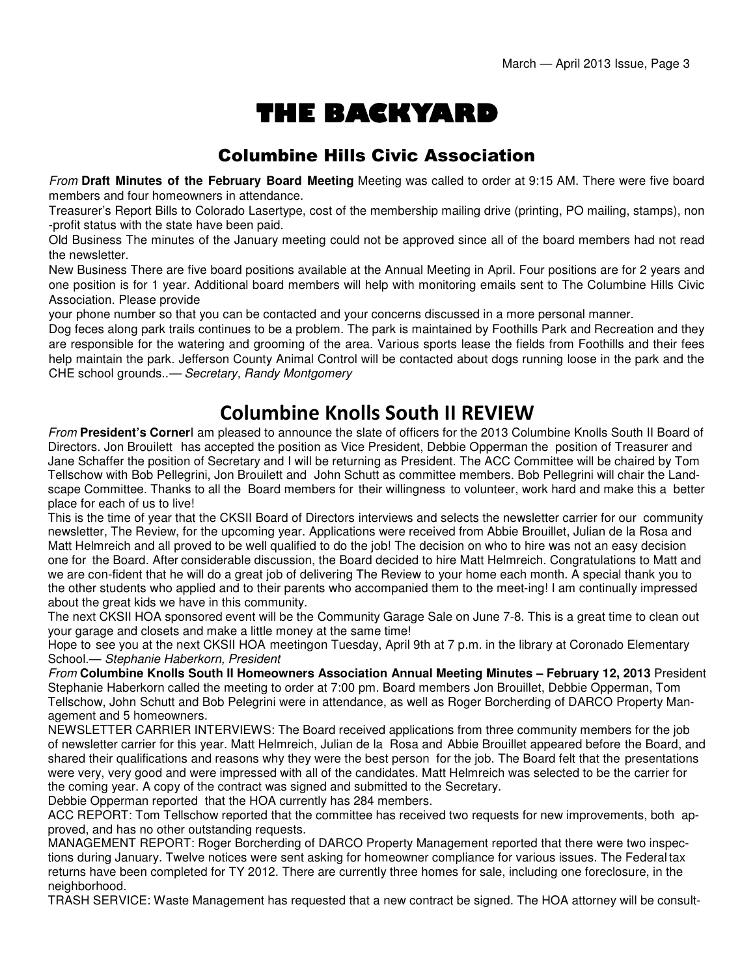# THE BACKYARD

### Columbine Hills Civic Association

From **Draft Minutes of the February Board Meeting** Meeting was called to order at 9:15 AM. There were five board members and four homeowners in attendance.

Treasurer's Report Bills to Colorado Lasertype, cost of the membership mailing drive (printing, PO mailing, stamps), non -profit status with the state have been paid.

Old Business The minutes of the January meeting could not be approved since all of the board members had not read the newsletter.

New Business There are five board positions available at the Annual Meeting in April. Four positions are for 2 years and one position is for 1 year. Additional board members will help with monitoring emails sent to The Columbine Hills Civic Association. Please provide

your phone number so that you can be contacted and your concerns discussed in a more personal manner.

Dog feces along park trails continues to be a problem. The park is maintained by Foothills Park and Recreation and they are responsible for the watering and grooming of the area. Various sports lease the fields from Foothills and their fees help maintain the park. Jefferson County Animal Control will be contacted about dogs running loose in the park and the CHE school grounds..— Secretary, Randy Montgomery

## Columbine Knolls South II REVIEW

From **President's Corner**I am pleased to announce the slate of officers for the 2013 Columbine Knolls South II Board of Directors. Jon Brouilett has accepted the position as Vice President, Debbie Opperman the position of Treasurer and Jane Schaffer the position of Secretary and I will be returning as President. The ACC Committee will be chaired by Tom Tellschow with Bob Pellegrini, Jon Brouilett and John Schutt as committee members. Bob Pellegrini will chair the Landscape Committee. Thanks to all the Board members for their willingness to volunteer, work hard and make this a better place for each of us to live!

This is the time of year that the CKSII Board of Directors interviews and selects the newsletter carrier for our community newsletter, The Review, for the upcoming year. Applications were received from Abbie Brouillet, Julian de la Rosa and Matt Helmreich and all proved to be well qualified to do the job! The decision on who to hire was not an easy decision one for the Board. After considerable discussion, the Board decided to hire Matt Helmreich. Congratulations to Matt and we are con-fident that he will do a great job of delivering The Review to your home each month. A special thank you to the other students who applied and to their parents who accompanied them to the meet-ing! I am continually impressed about the great kids we have in this community.

The next CKSII HOA sponsored event will be the Community Garage Sale on June 7-8. This is a great time to clean out your garage and closets and make a little money at the same time!

Hope to see you at the next CKSII HOA meeting on Tuesday, April 9th at 7 p.m. in the library at Coronado Elementary School.— Stephanie Haberkorn, President

From **Columbine Knolls South II Homeowners Association Annual Meeting Minutes – February 12, 2013** President Stephanie Haberkorn called the meeting to order at 7:00 pm. Board members Jon Brouillet, Debbie Opperman, Tom Tellschow, John Schutt and Bob Pelegrini were in attendance, as well as Roger Borcherding of DARCO Property Management and 5 homeowners.

NEWSLETTER CARRIER INTERVIEWS: The Board received applications from three community members for the job of newsletter carrier for this year. Matt Helmreich, Julian de la Rosa and Abbie Brouillet appeared before the Board, and shared their qualifications and reasons why they were the best person for the job. The Board felt that the presentations were very, very good and were impressed with all of the candidates. Matt Helmreich was selected to be the carrier for the coming year. A copy of the contract was signed and submitted to the Secretary.

Debbie Opperman reported that the HOA currently has 284 members.

ACC REPORT: Tom Tellschow reported that the committee has received two requests for new improvements, both approved, and has no other outstanding requests.

MANAGEMENT REPORT: Roger Borcherding of DARCO Property Management reported that there were two inspections during January. Twelve notices were sent asking for homeowner compliance for various issues. The Federal tax returns have been completed for TY 2012. There are currently three homes for sale, including one foreclosure, in the neighborhood.

TRASH SERVICE: Waste Management has requested that a new contract be signed. The HOA attorney will be consult-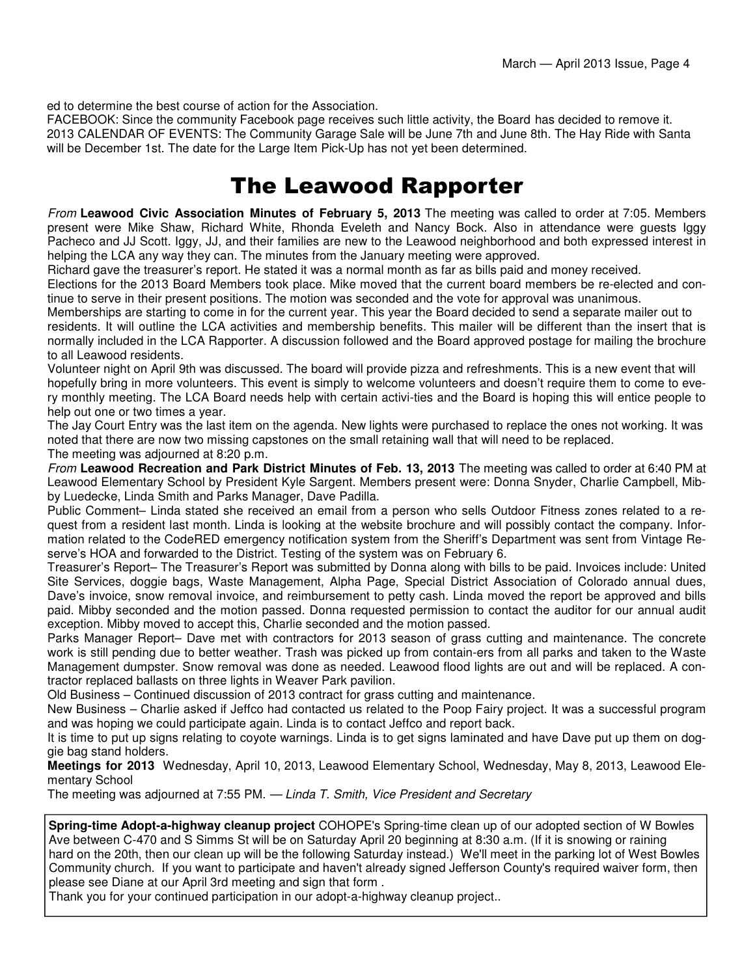ed to determine the best course of action for the Association.

FACEBOOK: Since the community Facebook page receives such little activity, the Board has decided to remove it. 2013 CALENDAR OF EVENTS: The Community Garage Sale will be June 7th and June 8th. The Hay Ride with Santa will be December 1st. The date for the Large Item Pick-Up has not yet been determined.

## The Leawood Rapporter

From **Leawood Civic Association Minutes of February 5, 2013** The meeting was called to order at 7:05. Members present were Mike Shaw, Richard White, Rhonda Eveleth and Nancy Bock. Also in attendance were guests Iggy Pacheco and JJ Scott. Iggy, JJ, and their families are new to the Leawood neighborhood and both expressed interest in helping the LCA any way they can. The minutes from the January meeting were approved.

Richard gave the treasurer's report. He stated it was a normal month as far as bills paid and money received.

Elections for the 2013 Board Members took place. Mike moved that the current board members be re-elected and continue to serve in their present positions. The motion was seconded and the vote for approval was unanimous.

Memberships are starting to come in for the current year. This year the Board decided to send a separate mailer out to residents. It will outline the LCA activities and membership benefits. This mailer will be different than the insert that is normally included in the LCA Rapporter. A discussion followed and the Board approved postage for mailing the brochure to all Leawood residents.

Volunteer night on April 9th was discussed. The board will provide pizza and refreshments. This is a new event that will hopefully bring in more volunteers. This event is simply to welcome volunteers and doesn't require them to come to every monthly meeting. The LCA Board needs help with certain activi-ties and the Board is hoping this will entice people to help out one or two times a year.

The Jay Court Entry was the last item on the agenda. New lights were purchased to replace the ones not working. It was noted that there are now two missing capstones on the small retaining wall that will need to be replaced. The meeting was adjourned at 8:20 p.m.

From **Leawood Recreation and Park District Minutes of Feb. 13, 2013** The meeting was called to order at 6:40 PM at Leawood Elementary School by President Kyle Sargent. Members present were: Donna Snyder, Charlie Campbell, Mibby Luedecke, Linda Smith and Parks Manager, Dave Padilla.

Public Comment– Linda stated she received an email from a person who sells Outdoor Fitness zones related to a request from a resident last month. Linda is looking at the website brochure and will possibly contact the company. Information related to the CodeRED emergency notification system from the Sheriff's Department was sent from Vintage Reserve's HOA and forwarded to the District. Testing of the system was on February 6.

Treasurer's Report– The Treasurer's Report was submitted by Donna along with bills to be paid. Invoices include: United Site Services, doggie bags, Waste Management, Alpha Page, Special District Association of Colorado annual dues, Dave's invoice, snow removal invoice, and reimbursement to petty cash. Linda moved the report be approved and bills paid. Mibby seconded and the motion passed. Donna requested permission to contact the auditor for our annual audit exception. Mibby moved to accept this, Charlie seconded and the motion passed.

Parks Manager Report– Dave met with contractors for 2013 season of grass cutting and maintenance. The concrete work is still pending due to better weather. Trash was picked up from contain-ers from all parks and taken to the Waste Management dumpster. Snow removal was done as needed. Leawood flood lights are out and will be replaced. A contractor replaced ballasts on three lights in Weaver Park pavilion.

Old Business – Continued discussion of 2013 contract for grass cutting and maintenance.

New Business – Charlie asked if Jeffco had contacted us related to the Poop Fairy project. It was a successful program and was hoping we could participate again. Linda is to contact Jeffco and report back.

It is time to put up signs relating to coyote warnings. Linda is to get signs laminated and have Dave put up them on doggie bag stand holders.

**Meetings for 2013** Wednesday, April 10, 2013, Leawood Elementary School, Wednesday, May 8, 2013, Leawood Elementary School

The meeting was adjourned at 7:55 PM. — Linda T. Smith, Vice President and Secretary

**Spring-time Adopt-a-highway cleanup project** COHOPE's Spring-time clean up of our adopted section of W Bowles Ave between C-470 and S Simms St will be on Saturday April 20 beginning at 8:30 a.m. (If it is snowing or raining hard on the 20th, then our clean up will be the following Saturday instead.) We'll meet in the parking lot of West Bowles Community church. If you want to participate and haven't already signed Jefferson County's required waiver form, then please see Diane at our April 3rd meeting and sign that form .

Thank you for your continued participation in our adopt-a-highway cleanup project..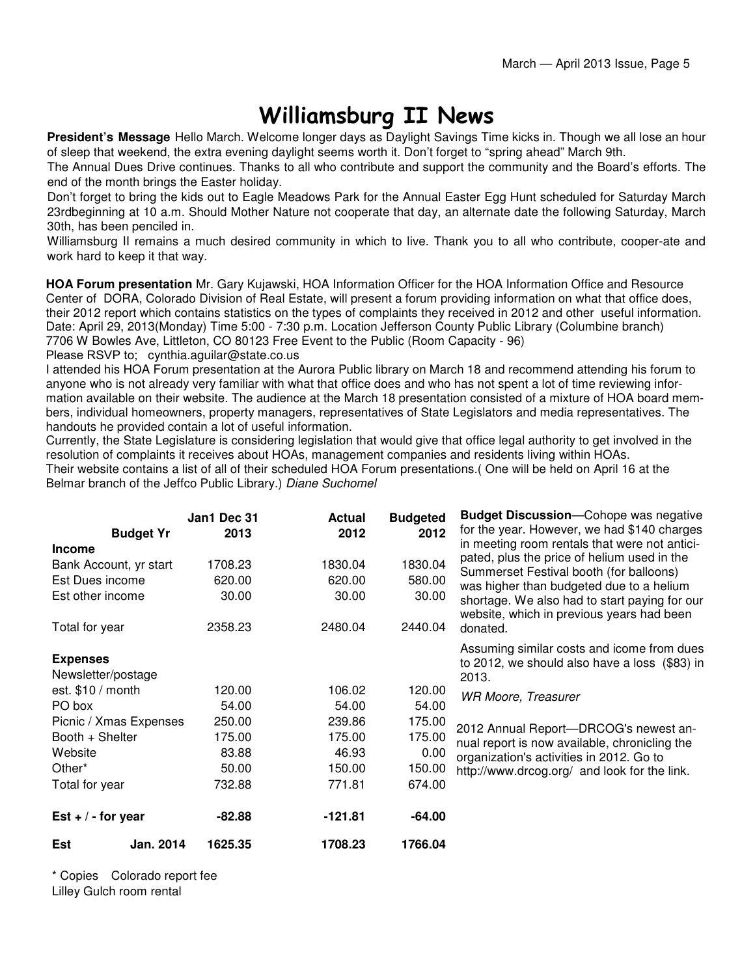# Williamsburg II News

**President's Message** Hello March. Welcome longer days as Daylight Savings Time kicks in. Though we all lose an hour of sleep that weekend, the extra evening daylight seems worth it. Don't forget to "spring ahead" March 9th.

The Annual Dues Drive continues. Thanks to all who contribute and support the community and the Board's efforts. The end of the month brings the Easter holiday.

Don't forget to bring the kids out to Eagle Meadows Park for the Annual Easter Egg Hunt scheduled for Saturday March 23rdbeginning at 10 a.m. Should Mother Nature not cooperate that day, an alternate date the following Saturday, March 30th, has been penciled in.

Williamsburg II remains a much desired community in which to live. Thank you to all who contribute, cooper-ate and work hard to keep it that way.

**HOA Forum presentation** Mr. Gary Kujawski, HOA Information Officer for the HOA Information Office and Resource Center of DORA, Colorado Division of Real Estate, will present a forum providing information on what that office does, their 2012 report which contains statistics on the types of complaints they received in 2012 and other useful information. Date: April 29, 2013(Monday) Time 5:00 - 7:30 p.m. Location Jefferson County Public Library (Columbine branch) 7706 W Bowles Ave, Littleton, CO 80123 Free Event to the Public (Room Capacity - 96) Please RSVP to: cynthia.aguilar@state.co.us

I attended his HOA Forum presentation at the Aurora Public library on March 18 and recommend attending his forum to anyone who is not already very familiar with what that office does and who has not spent a lot of time reviewing information available on their website. The audience at the March 18 presentation consisted of a mixture of HOA board members, individual homeowners, property managers, representatives of State Legislators and media representatives. The handouts he provided contain a lot of useful information.

Currently, the State Legislature is considering legislation that would give that office legal authority to get involved in the resolution of complaints it receives about HOAs, management companies and residents living within HOAs. Their website contains a list of all of their scheduled HOA Forum presentations.( One will be held on April 16 at the Belmar branch of the Jeffco Public Library.) Diane Suchomel

|                                                                                                  | Jan1 Dec 31                           | <b>Actual</b>                         | <b>Budgeted</b>                       | <b>Budget Discussion</b> —Cohope was negative                                                                                                                                                                                                                                                 |
|--------------------------------------------------------------------------------------------------|---------------------------------------|---------------------------------------|---------------------------------------|-----------------------------------------------------------------------------------------------------------------------------------------------------------------------------------------------------------------------------------------------------------------------------------------------|
| <b>Budget Yr</b>                                                                                 | 2013                                  | 2012                                  | 2012                                  | for the year. However, we had \$140 charges                                                                                                                                                                                                                                                   |
| <b>Income</b><br>Bank Account, yr start<br>Est Dues income<br>Est other income<br>Total for year | 1708.23<br>620.00<br>30.00<br>2358.23 | 1830.04<br>620.00<br>30.00<br>2480.04 | 1830.04<br>580.00<br>30.00<br>2440.04 | in meeting room rentals that were not antici-<br>pated, plus the price of helium used in the<br>Summerset Festival booth (for balloons)<br>was higher than budgeted due to a helium<br>shortage. We also had to start paying for our<br>website, which in previous years had been<br>donated. |
| <b>Expenses</b><br>Newsletter/postage                                                            |                                       |                                       |                                       | Assuming similar costs and icome from dues<br>to 2012, we should also have a loss (\$83) in<br>2013.                                                                                                                                                                                          |
| est. $$10 / month$<br>PO box                                                                     | 120.00<br>54.00                       | 106.02<br>54.00                       | 120.00<br>54.00                       | WR Moore, Treasurer                                                                                                                                                                                                                                                                           |
| Picnic / Xmas Expenses<br>Booth + Shelter<br>Website                                             | 250.00<br>175.00<br>83.88             | 239.86<br>175.00<br>46.93             | 175.00<br>175.00<br>0.00              | 2012 Annual Report-DRCOG's newest an-<br>nual report is now available, chronicling the<br>organization's activities in 2012. Go to                                                                                                                                                            |
| Other*<br>Total for year                                                                         | 50.00<br>732.88                       | 150.00<br>771.81                      | 150.00<br>674.00                      | http://www.drcog.org/ and look for the link.                                                                                                                                                                                                                                                  |
| Est $+/-$ for year                                                                               | $-82.88$                              | -121.81                               | $-64.00$                              |                                                                                                                                                                                                                                                                                               |
| Est<br><b>Jan. 2014</b>                                                                          | 1625.35                               | 1708.23                               | 1766.04                               |                                                                                                                                                                                                                                                                                               |

\* Copies Colorado report fee Lilley Gulch room rental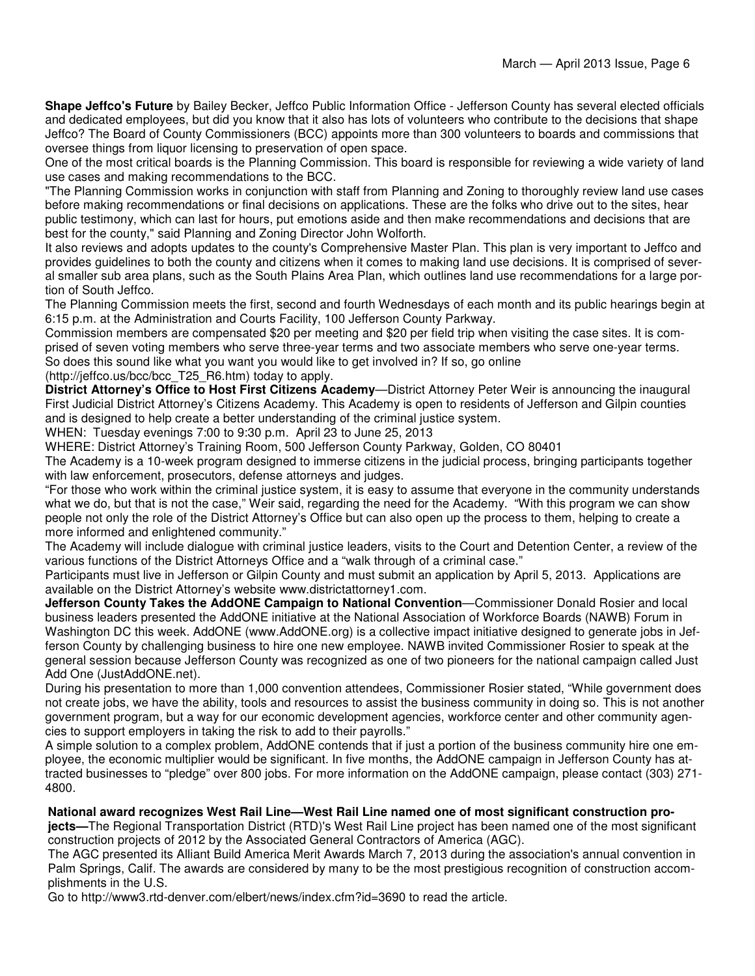**Shape Jeffco's Future** by Bailey Becker, Jeffco Public Information Office - Jefferson County has several elected officials and dedicated employees, but did you know that it also has lots of volunteers who contribute to the decisions that shape Jeffco? The Board of County Commissioners (BCC) appoints more than 300 volunteers to boards and commissions that oversee things from liquor licensing to preservation of open space.

One of the most critical boards is the Planning Commission. This board is responsible for reviewing a wide variety of land use cases and making recommendations to the BCC.

"The Planning Commission works in conjunction with staff from Planning and Zoning to thoroughly review land use cases before making recommendations or final decisions on applications. These are the folks who drive out to the sites, hear public testimony, which can last for hours, put emotions aside and then make recommendations and decisions that are best for the county," said Planning and Zoning Director John Wolforth.

It also reviews and adopts updates to the county's Comprehensive Master Plan. This plan is very important to Jeffco and provides guidelines to both the county and citizens when it comes to making land use decisions. It is comprised of several smaller sub area plans, such as the South Plains Area Plan, which outlines land use recommendations for a large portion of South Jeffco.

The Planning Commission meets the first, second and fourth Wednesdays of each month and its public hearings begin at 6:15 p.m. at the Administration and Courts Facility, 100 Jefferson County Parkway.

Commission members are compensated \$20 per meeting and \$20 per field trip when visiting the case sites. It is comprised of seven voting members who serve three-year terms and two associate members who serve one-year terms. So does this sound like what you want you would like to get involved in? If so, go online

(http://jeffco.us/bcc/bcc\_T25\_R6.htm) today to apply.

**District Attorney's Office to Host First Citizens Academy**—District Attorney Peter Weir is announcing the inaugural First Judicial District Attorney's Citizens Academy. This Academy is open to residents of Jefferson and Gilpin counties and is designed to help create a better understanding of the criminal justice system.

WHEN: Tuesday evenings 7:00 to 9:30 p.m. April 23 to June 25, 2013

WHERE: District Attorney's Training Room, 500 Jefferson County Parkway, Golden, CO 80401

The Academy is a 10-week program designed to immerse citizens in the judicial process, bringing participants together with law enforcement, prosecutors, defense attorneys and judges.

"For those who work within the criminal justice system, it is easy to assume that everyone in the community understands what we do, but that is not the case." Weir said, regarding the need for the Academy. "With this program we can show people not only the role of the District Attorney's Office but can also open up the process to them, helping to create a more informed and enlightened community."

The Academy will include dialogue with criminal justice leaders, visits to the Court and Detention Center, a review of the various functions of the District Attorneys Office and a "walk through of a criminal case."

Participants must live in Jefferson or Gilpin County and must submit an application by April 5, 2013. Applications are available on the District Attorney's website www.districtattorney1.com.

**Jefferson County Takes the AddONE Campaign to National Convention**—Commissioner Donald Rosier and local business leaders presented the AddONE initiative at the National Association of Workforce Boards (NAWB) Forum in Washington DC this week. AddONE (www.AddONE.org) is a collective impact initiative designed to generate jobs in Jefferson County by challenging business to hire one new employee. NAWB invited Commissioner Rosier to speak at the general session because Jefferson County was recognized as one of two pioneers for the national campaign called Just Add One (JustAddONE.net).

During his presentation to more than 1,000 convention attendees, Commissioner Rosier stated, "While government does not create jobs, we have the ability, tools and resources to assist the business community in doing so. This is not another government program, but a way for our economic development agencies, workforce center and other community agencies to support employers in taking the risk to add to their payrolls."

A simple solution to a complex problem, AddONE contends that if just a portion of the business community hire one employee, the economic multiplier would be significant. In five months, the AddONE campaign in Jefferson County has attracted businesses to "pledge" over 800 jobs. For more information on the AddONE campaign, please contact (303) 271- 4800.

**National award recognizes West Rail Line—West Rail Line named one of most significant construction projects—**The Regional Transportation District (RTD)'s West Rail Line project has been named one of the most significant construction projects of 2012 by the Associated General Contractors of America (AGC).

The AGC presented its Alliant Build America Merit Awards March 7, 2013 during the association's annual convention in Palm Springs, Calif. The awards are considered by many to be the most prestigious recognition of construction accomplishments in the U.S.

Go to http://www3.rtd-denver.com/elbert/news/index.cfm?id=3690 to read the article.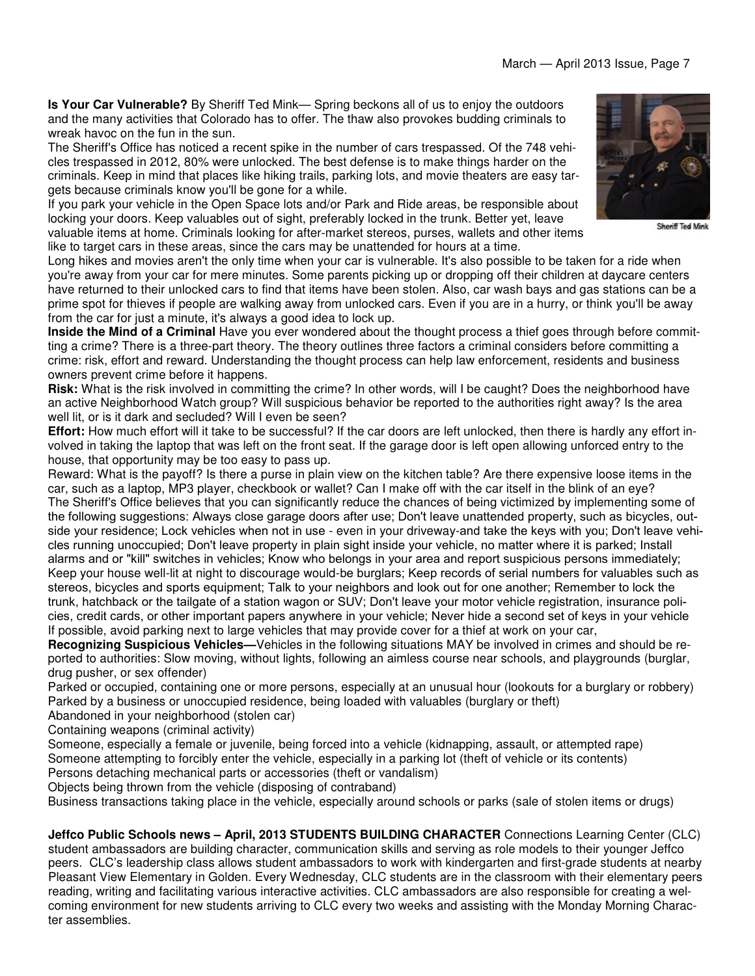**Is Your Car Vulnerable?** By Sheriff Ted Mink— Spring beckons all of us to enjoy the outdoors and the many activities that Colorado has to offer. The thaw also provokes budding criminals to wreak havoc on the fun in the sun.

The Sheriff's Office has noticed a recent spike in the number of cars trespassed. Of the 748 vehicles trespassed in 2012, 80% were unlocked. The best defense is to make things harder on the criminals. Keep in mind that places like hiking trails, parking lots, and movie theaters are easy targets because criminals know you'll be gone for a while.

If you park your vehicle in the Open Space lots and/or Park and Ride areas, be responsible about locking your doors. Keep valuables out of sight, preferably locked in the trunk. Better yet, leave valuable items at home. Criminals looking for after-market stereos, purses, wallets and other items like to target cars in these areas, since the cars may be unattended for hours at a time.

Long hikes and movies aren't the only time when your car is vulnerable. It's also possible to be taken for a ride when you're away from your car for mere minutes. Some parents picking up or dropping off their children at daycare centers have returned to their unlocked cars to find that items have been stolen. Also, car wash bays and gas stations can be a prime spot for thieves if people are walking away from unlocked cars. Even if you are in a hurry, or think you'll be away from the car for just a minute, it's always a good idea to lock up.

**Inside the Mind of a Criminal** Have you ever wondered about the thought process a thief goes through before committing a crime? There is a three-part theory. The theory outlines three factors a criminal considers before committing a crime: risk, effort and reward. Understanding the thought process can help law enforcement, residents and business owners prevent crime before it happens.

**Risk:** What is the risk involved in committing the crime? In other words, will I be caught? Does the neighborhood have an active Neighborhood Watch group? Will suspicious behavior be reported to the authorities right away? Is the area well lit, or is it dark and secluded? Will I even be seen?

**Effort:** How much effort will it take to be successful? If the car doors are left unlocked, then there is hardly any effort involved in taking the laptop that was left on the front seat. If the garage door is left open allowing unforced entry to the house, that opportunity may be too easy to pass up.

Reward: What is the payoff? Is there a purse in plain view on the kitchen table? Are there expensive loose items in the car, such as a laptop, MP3 player, checkbook or wallet? Can I make off with the car itself in the blink of an eye? The Sheriff's Office believes that you can significantly reduce the chances of being victimized by implementing some of the following suggestions: Always close garage doors after use; Don't leave unattended property, such as bicycles, outside your residence; Lock vehicles when not in use - even in your driveway-and take the keys with you; Don't leave vehicles running unoccupied; Don't leave property in plain sight inside your vehicle, no matter where it is parked; Install alarms and or "kill" switches in vehicles; Know who belongs in your area and report suspicious persons immediately; Keep your house well-lit at night to discourage would-be burglars; Keep records of serial numbers for valuables such as stereos, bicycles and sports equipment; Talk to your neighbors and look out for one another; Remember to lock the trunk, hatchback or the tailgate of a station wagon or SUV; Don't leave your motor vehicle registration, insurance policies, credit cards, or other important papers anywhere in your vehicle; Never hide a second set of keys in your vehicle If possible, avoid parking next to large vehicles that may provide cover for a thief at work on your car,

**Recognizing Suspicious Vehicles—**Vehicles in the following situations MAY be involved in crimes and should be reported to authorities: Slow moving, without lights, following an aimless course near schools, and playgrounds (burglar, drug pusher, or sex offender)

Parked or occupied, containing one or more persons, especially at an unusual hour (lookouts for a burglary or robbery) Parked by a business or unoccupied residence, being loaded with valuables (burglary or theft)

Abandoned in your neighborhood (stolen car)

Containing weapons (criminal activity)

Someone, especially a female or juvenile, being forced into a vehicle (kidnapping, assault, or attempted rape) Someone attempting to forcibly enter the vehicle, especially in a parking lot (theft of vehicle or its contents)

Persons detaching mechanical parts or accessories (theft or vandalism)

Objects being thrown from the vehicle (disposing of contraband)

Business transactions taking place in the vehicle, especially around schools or parks (sale of stolen items or drugs)

**Jeffco Public Schools news – April, 2013 STUDENTS BUILDING CHARACTER** Connections Learning Center (CLC) student ambassadors are building character, communication skills and serving as role models to their younger Jeffco peers. CLC's leadership class allows student ambassadors to work with kindergarten and first-grade students at nearby Pleasant View Elementary in Golden. Every Wednesday, CLC students are in the classroom with their elementary peers reading, writing and facilitating various interactive activities. CLC ambassadors are also responsible for creating a welcoming environment for new students arriving to CLC every two weeks and assisting with the Monday Morning Character assemblies.



Sheriff Ted Mink